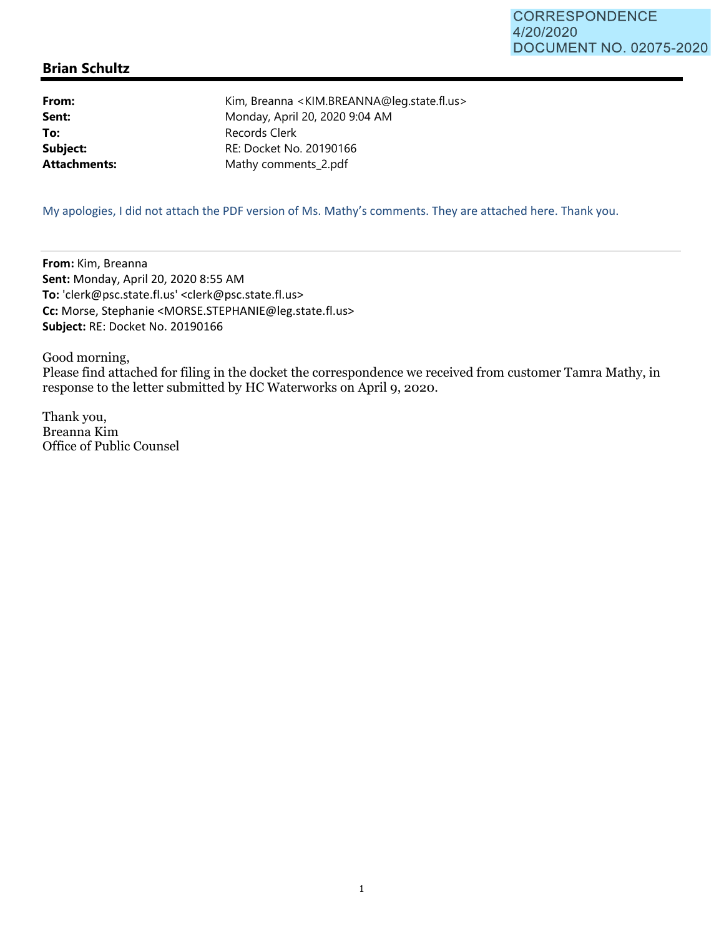## **Brian Schultz**

**From:** Kim, Breanna <KIM.BREANNA@leg.state.fl.us> **Sent:** Monday, April 20, 2020 9:04 AM **To:** Records Clerk **Subject:** RE: Docket No. 20190166 Attachments: Mathy comments\_2.pdf

My apologies, I did not attach the PDF version of Ms. Mathy's comments. They are attached here. Thank you.

**From:** Kim, Breanna **Sent:** Monday, April 20, 2020 8:55 AM **To:** 'clerk@psc.state.fl.us' <clerk@psc.state.fl.us> **Cc:** Morse, Stephanie <MORSE.STEPHANIE@leg.state.fl.us> **Subject:** RE: Docket No. 20190166

Good morning, Please find attached for filing in the docket the correspondence we received from customer Tamra Mathy, in response to the letter submitted by HC Waterworks on April 9, 2020.

Thank you, Breanna Kim Office of Public Counsel